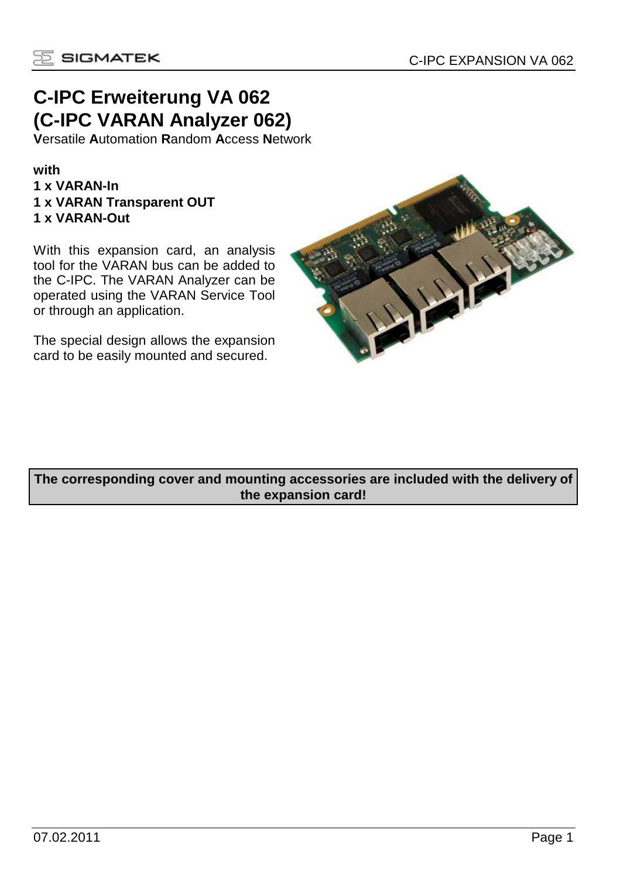

# **C-IPC Erweiterung VA 062 (C-IPC VARAN Analyzer 062)**

**V**ersatile **A**utomation **R**andom **A**ccess **N**etwork

#### **with 1 x VARAN-In 1 x VARAN Transparent OUT 1 x VARAN-Out**

With this expansion card, an analysis tool for the VARAN bus can be added to the C-IPC. The VARAN Analyzer can be operated using the VARAN Service Tool or through an application.

The special design allows the expansion card to be easily mounted and secured.



**The corresponding cover and mounting accessories are included with the delivery of the expansion card!**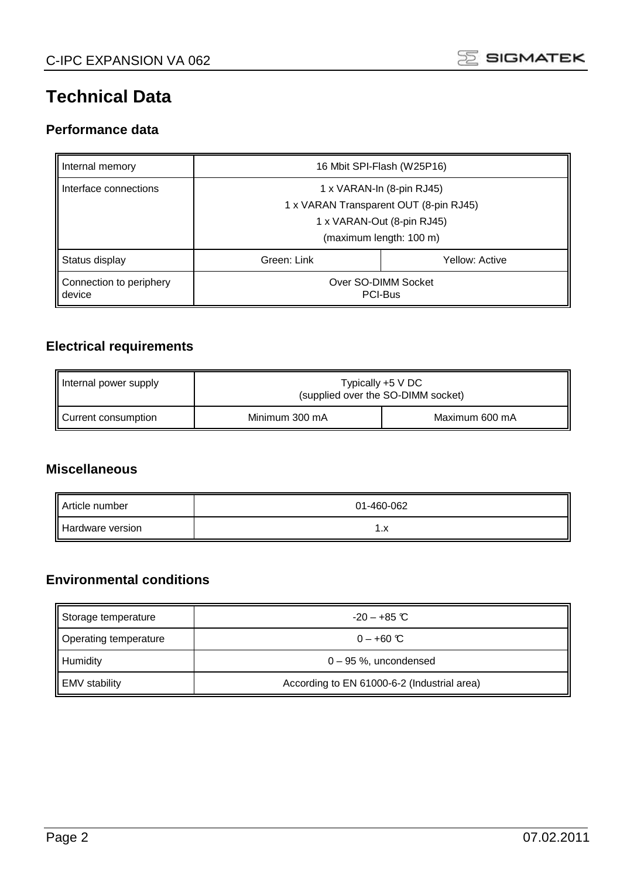

# **Technical Data**

### **Performance data**

| Internal memory                   | 16 Mbit SPI-Flash (W25P16)                                                                                                   |                |  |  |
|-----------------------------------|------------------------------------------------------------------------------------------------------------------------------|----------------|--|--|
| Interface connections             | 1 x VARAN-In (8-pin RJ45)<br>1 x VARAN Transparent OUT (8-pin RJ45)<br>1 x VARAN-Out (8-pin RJ45)<br>(maximum length: 100 m) |                |  |  |
| Status display                    | Green: Link                                                                                                                  | Yellow: Active |  |  |
| Connection to periphery<br>device | Over SO-DIMM Socket<br>PCI-Bus                                                                                               |                |  |  |

### **Electrical requirements**

| Internal power supply | Typically $+5$ V DC<br>(supplied over the SO-DIMM socket) |                |
|-----------------------|-----------------------------------------------------------|----------------|
| Current consumption   | Minimum 300 mA                                            | Maximum 600 mA |

### **Miscellaneous**

| Article number   | 01-460-062 |
|------------------|------------|
| Hardware version | . . A      |

### **Environmental conditions**

| Storage temperature   | $-20 - +85$ C                               |
|-----------------------|---------------------------------------------|
| Operating temperature | $0 - +60$ °C                                |
| Humidity              | 0 - 95 %, uncondensed                       |
| <b>EMV</b> stability  | According to EN 61000-6-2 (Industrial area) |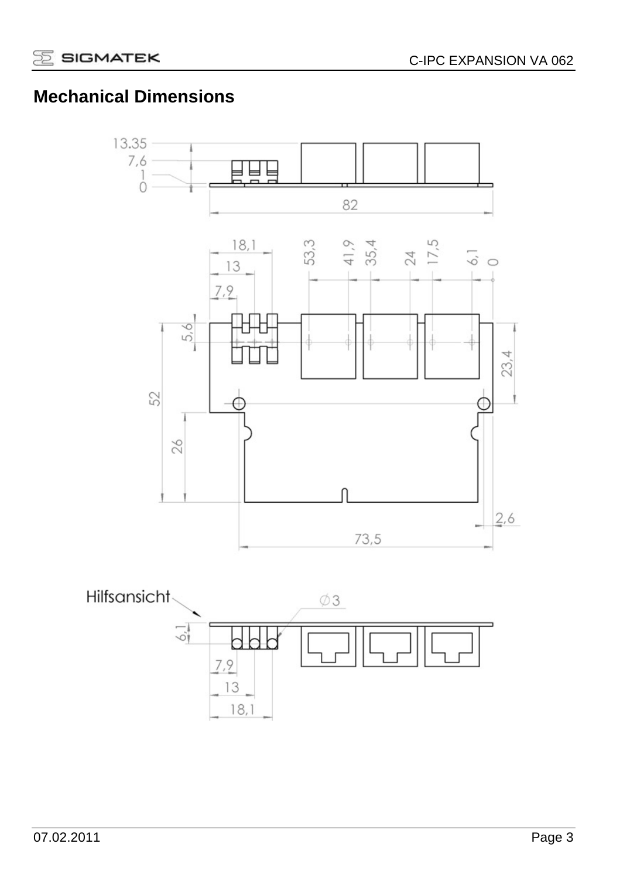# **Mechanical Dimensions**

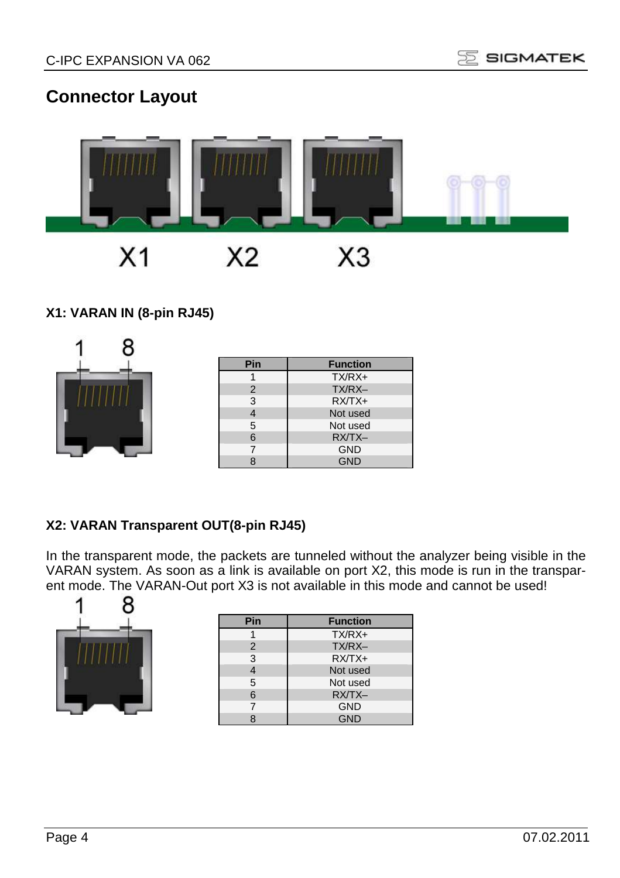# **Connector Layout**



### **X1: VARAN IN (8-pin RJ45)**

| Pin            | <b>Function</b> |
|----------------|-----------------|
|                | $TX/RX+$        |
| $\overline{2}$ | TX/RX-          |
| 3              | $RX/TX+$        |
|                | Not used        |
| 5              | Not used        |
| 6              | RX/TX-          |
| ⇁              | <b>GND</b>      |
|                | <b>GND</b>      |

### **X2: VARAN Transparent OUT(8-pin RJ45)**

In the transparent mode, the packets are tunneled without the analyzer being visible in the VARAN system. As soon as a link is available on port X2, this mode is run in the transparent mode. The VARAN-Out port X3 is not available in this mode and cannot be used!

|  | Я |
|--|---|
|  |   |
|  |   |
|  |   |

| <b>Function</b> |
|-----------------|
| $TX/RX+$        |
| TX/RX-          |
| $RXTX+$         |
| Not used        |
| Not used        |
| RX/TX-          |
| <b>GND</b>      |
| <b>GND</b>      |
|                 |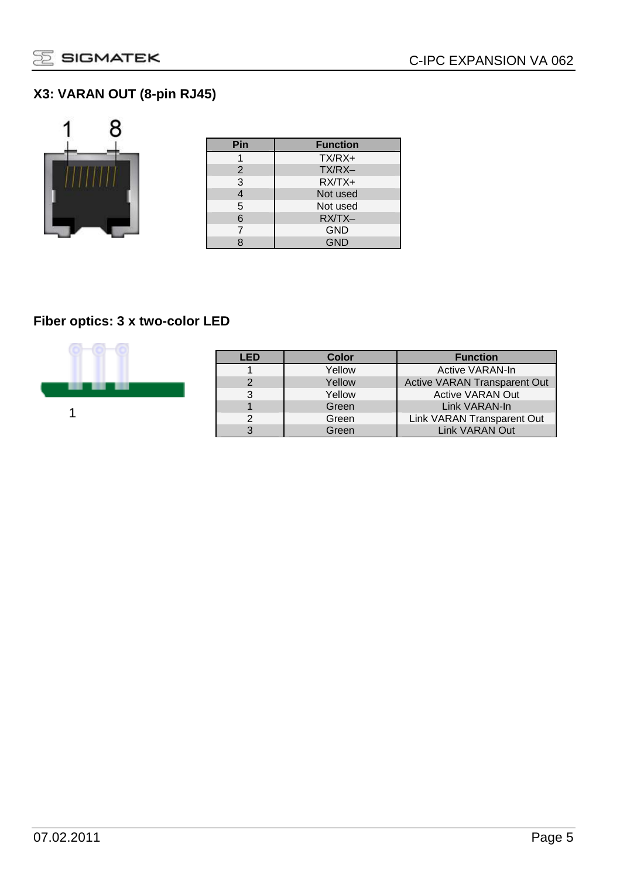### **X3: VARAN OUT (8-pin RJ45)**



| Pin | <b>Function</b> |
|-----|-----------------|
|     | $TX/RX+$        |
| 2   | TX/RX-          |
| 3   | $RXTX+$         |
| 4   | Not used        |
| 5   | Not used        |
| 6   | RX/TX-          |
|     | <b>GND</b>      |
|     | <b>GND</b>      |

### **Fiber optics: 3 x two-color LED**



| LED           | Color  | <b>Function</b>                     |
|---------------|--------|-------------------------------------|
|               | Yellow | Active VARAN-In                     |
| $\mathcal{D}$ | Yellow | <b>Active VARAN Transparent Out</b> |
| 3             | Yellow | <b>Active VARAN Out</b>             |
|               | Green  | Link VARAN-In                       |
| $\mathcal{D}$ | Green  | Link VARAN Transparent Out          |
| З             | Green  | <b>Link VARAN Out</b>               |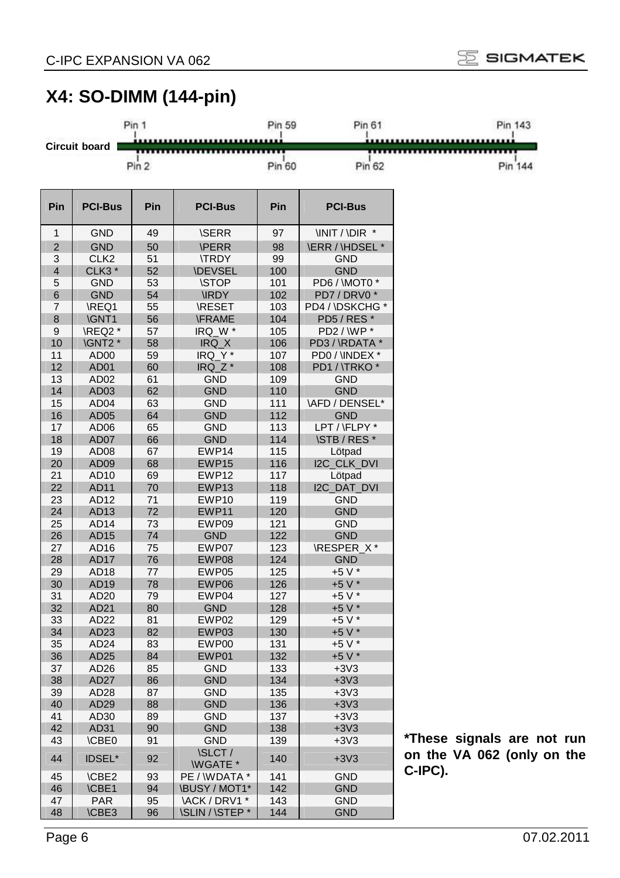

# **X4: SO-DIMM (144-pin)**

|                |                   | Pin 1 |                                | Pin 59 | Pin 61                 | Pin 143                |
|----------------|-------------------|-------|--------------------------------|--------|------------------------|------------------------|
|                |                   |       |                                |        |                        |                        |
|                | Circuit board     |       |                                |        |                        |                        |
|                |                   | Pin 2 |                                | Pin 60 | Pin 62                 | Pin 144                |
|                |                   |       |                                |        |                        |                        |
| Pin            | <b>PCI-Bus</b>    | Pin   |                                | Pin    |                        |                        |
|                |                   |       | <b>PCI-Bus</b>                 |        | <b>PCI-Bus</b>         |                        |
| 1              | GND               | 49    | <b>ISERR</b>                   | 97     | <b>INIT / IDIR *</b>   |                        |
| $\overline{2}$ | <b>GND</b>        | 50    | <b>\PERR</b>                   | 98     | <b>\ERR / \HDSEL *</b> |                        |
| 3              | CLK <sub>2</sub>  | 51    | <b>ITRDY</b>                   | 99     | <b>GND</b>             |                        |
| $\overline{4}$ | CLK3 <sup>*</sup> | 52    | <b>\DEVSEL</b>                 | 100    | <b>GND</b>             |                        |
| 5              | <b>GND</b>        | 53    | <b>\STOP</b>                   | 101    | PD6 / \MOT0 *          |                        |
| 6              | <b>GND</b>        | 54    | <b>IRDY</b>                    | 102    | PD7/DRV0*              |                        |
| $\overline{7}$ | \REQ1             | 55    | <b>\RESET</b>                  | 103    | PD4 / \DSKCHG *        |                        |
| 8              | <b>\GNT1</b>      | 56    | <b>\FRAME</b>                  | 104    | PD5/RES*               |                        |
| 9              | \REQ2 *           | 57    | IRQ_W *                        | 105    | PD2 / WP *             |                        |
| 10             | \GNT2 *           | 58    | IRQ X                          | 106    | PD3 / \RDATA *         |                        |
| 11             | AD <sub>00</sub>  | 59    | IRQ_Y*                         | 107    | PD0/\INDEX *           |                        |
| 12             | AD01              | 60    | IRQ Z*                         | 108    | PD1 / \TRKO *          |                        |
| 13             | AD <sub>02</sub>  | 61    | <b>GND</b>                     | 109    | <b>GND</b>             |                        |
| 14             | AD <sub>03</sub>  | 62    | <b>GND</b>                     | 110    | <b>GND</b>             |                        |
| 15             | AD <sub>04</sub>  | 63    | <b>GND</b>                     | 111    | <b>\AFD / DENSEL*</b>  |                        |
| 16             | AD <sub>05</sub>  | 64    | <b>GND</b>                     | 112    | <b>GND</b>             |                        |
| 17             | AD <sub>06</sub>  | 65    | <b>GND</b>                     | 113    | LPT / \FLPY *          |                        |
| 18             | AD07              | 66    | <b>GND</b>                     | 114    | <b>\STB / RES *</b>    |                        |
| 19             | AD <sub>08</sub>  | 67    | EWP14                          | 115    | Lötpad                 |                        |
| 20             | AD <sub>09</sub>  | 68    | EWP15                          | 116    | <b>I2C CLK DVI</b>     |                        |
| 21             | AD <sub>10</sub>  | 69    | EWP12                          | 117    | Lötpad                 |                        |
| 22             | AD11              | 70    | EWP13                          | 118    | I2C_DAT_DVI            |                        |
| 23             | AD12              | 71    | EWP10                          | 119    | <b>GND</b>             |                        |
| 24             | AD <sub>13</sub>  | 72    | EWP11                          | 120    | <b>GND</b>             |                        |
| 25             | AD <sub>14</sub>  | 73    | EWP09                          | 121    | <b>GND</b>             |                        |
| 26             | AD15              | 74    | <b>GND</b>                     | 122    | <b>GND</b>             |                        |
| 27             | AD16              | 75    | EWP07                          | 123    | \RESPER X*             |                        |
| 28             | <b>AD17</b>       | 76    | EWP08                          | 124    | <b>GND</b>             |                        |
| 29             | AD18              | 77    | EWP05                          | 125    | +5 V *                 |                        |
| 30             | AD19              | 78    | EWP06                          | 126    | +5 V *                 |                        |
| 31             | AD <sub>20</sub>  | 79    | EWP04                          | 127    | $+5V^*$                |                        |
| 32             | AD21              | 80    | <b>GND</b>                     | 128    | +5 V *                 |                        |
| 33             | AD22              | 81    | EWP02                          | 129    | +5 V *                 |                        |
| 34             | AD <sub>23</sub>  | 82    | EWP03                          | 130    | +5 V *                 |                        |
| 35             | AD24              | 83    | EWP00                          | 131    | +5 V *                 |                        |
| 36             | AD25              | 84    | EWP01                          | 132    | +5 V *                 |                        |
| 37             | AD26              | 85    | <b>GND</b>                     | 133    | $+3V3$                 |                        |
| 38             | AD27              | 86    | GND                            | 134    | $+3V3$                 |                        |
| 39             | AD28              | 87    | <b>GND</b>                     | 135    | $+3V3$                 |                        |
| 40             | AD29              | 88    | <b>GND</b>                     | 136    | $+3V3$                 |                        |
| 41             | AD30              | 89    | <b>GND</b>                     | 137    | $+3V3$                 |                        |
| 42             | AD31              | 90    | <b>GND</b>                     | 138    | $+3V3$                 |                        |
| 43             | <b>\CBE0</b>      | 91    | <b>GND</b>                     | 139    | $+3V3$                 | *These signals are not |
| 44             | <b>IDSEL*</b>     | 92    | <b>\SLCT/</b><br><b>WGATE*</b> | 140    | $+3V3$                 | on the VA 062 (only on |
| 45             | <b>\CBE2</b>      | 93    | PE / WDATA *                   | 141    | <b>GND</b>             | C-IPC).                |
| 46             | <b>\CBE1</b>      | 94    | <b>\BUSY / MOT1*</b>           | 142    | <b>GND</b>             |                        |
| 47             | <b>PAR</b>        | 95    | \ACK / DRV1 *                  | 143    | <b>GND</b>             |                        |
| 48             | <b>\CBE3</b>      | 96    | <b>\SLIN / \STEP *</b>         | 144    | <b>GND</b>             |                        |

run the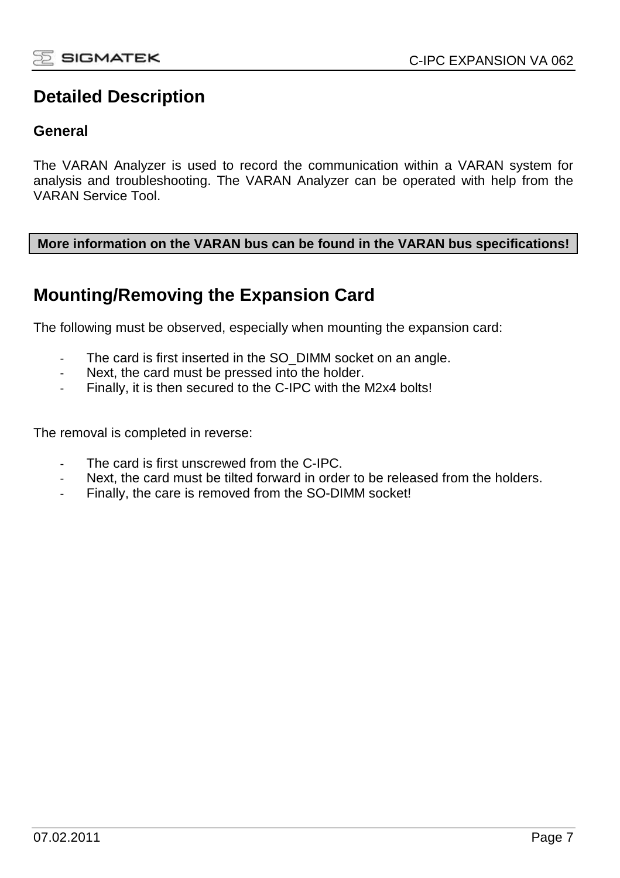## **Detailed Description**

### **General**

The VARAN Analyzer is used to record the communication within a VARAN system for analysis and troubleshooting. The VARAN Analyzer can be operated with help from the VARAN Service Tool.

#### **More information on the VARAN bus can be found in the VARAN bus specifications!**

### **Mounting/Removing the Expansion Card**

The following must be observed, especially when mounting the expansion card:

- The card is first inserted in the SO\_DIMM socket on an angle.
- Next, the card must be pressed into the holder.
- Finally, it is then secured to the C-IPC with the M2x4 bolts!

The removal is completed in reverse:

- The card is first unscrewed from the C-IPC.
- Next, the card must be tilted forward in order to be released from the holders.
- Finally, the care is removed from the SO-DIMM socket!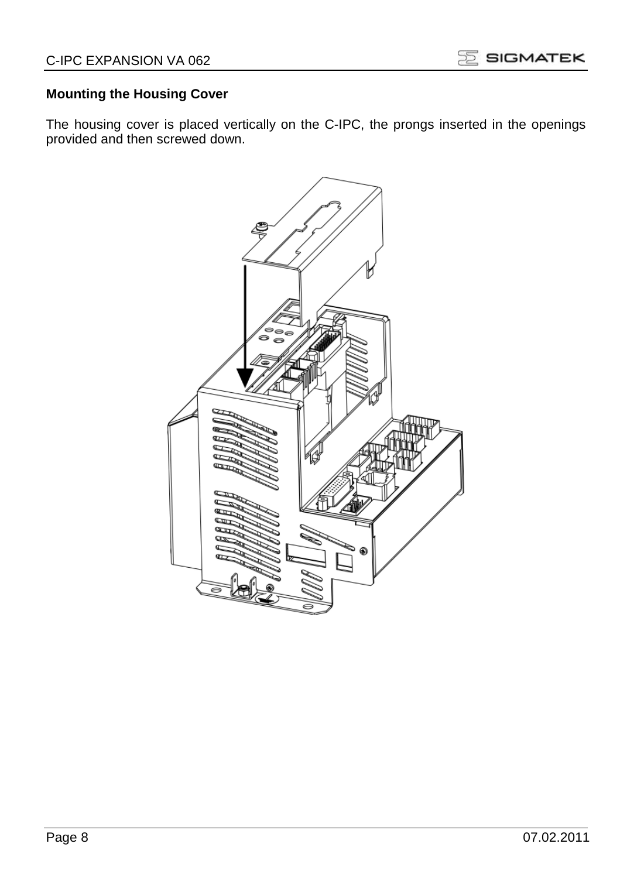### **Mounting the Housing Cover**

The housing cover is placed vertically on the C-IPC, the prongs inserted in the openings provided and then screwed down.

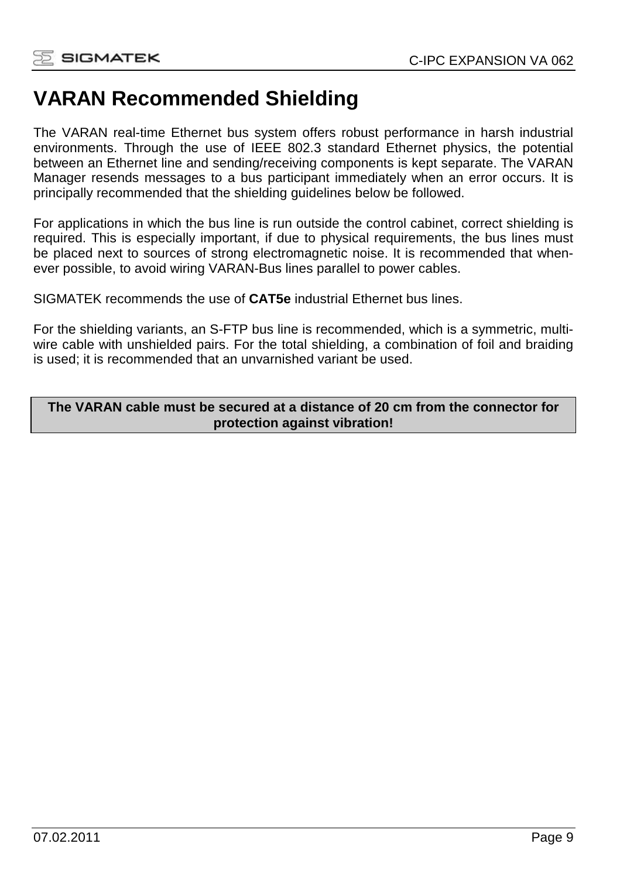# **VARAN Recommended Shielding**

The VARAN real-time Ethernet bus system offers robust performance in harsh industrial environments. Through the use of IEEE 802.3 standard Ethernet physics, the potential between an Ethernet line and sending/receiving components is kept separate. The VARAN Manager resends messages to a bus participant immediately when an error occurs. It is principally recommended that the shielding guidelines below be followed.

For applications in which the bus line is run outside the control cabinet, correct shielding is required. This is especially important, if due to physical requirements, the bus lines must be placed next to sources of strong electromagnetic noise. It is recommended that whenever possible, to avoid wiring VARAN-Bus lines parallel to power cables.

SIGMATEK recommends the use of **CAT5e** industrial Ethernet bus lines.

For the shielding variants, an S-FTP bus line is recommended, which is a symmetric, multiwire cable with unshielded pairs. For the total shielding, a combination of foil and braiding is used; it is recommended that an unvarnished variant be used.

**The VARAN cable must be secured at a distance of 20 cm from the connector for protection against vibration!**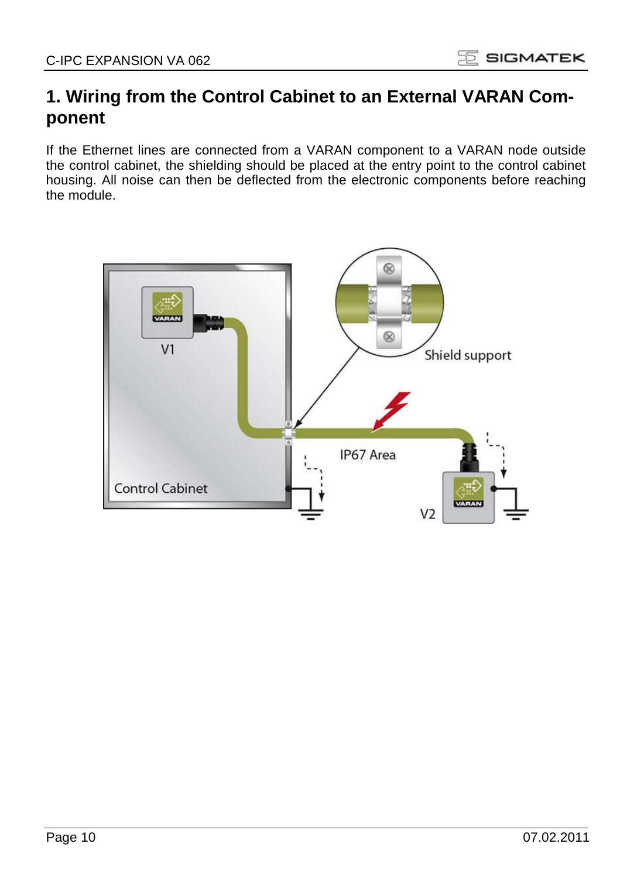## **1. Wiring from the Control Cabinet to an External VARAN Component**

If the Ethernet lines are connected from a VARAN component to a VARAN node outside the control cabinet, the shielding should be placed at the entry point to the control cabinet housing. All noise can then be deflected from the electronic components before reaching the module.

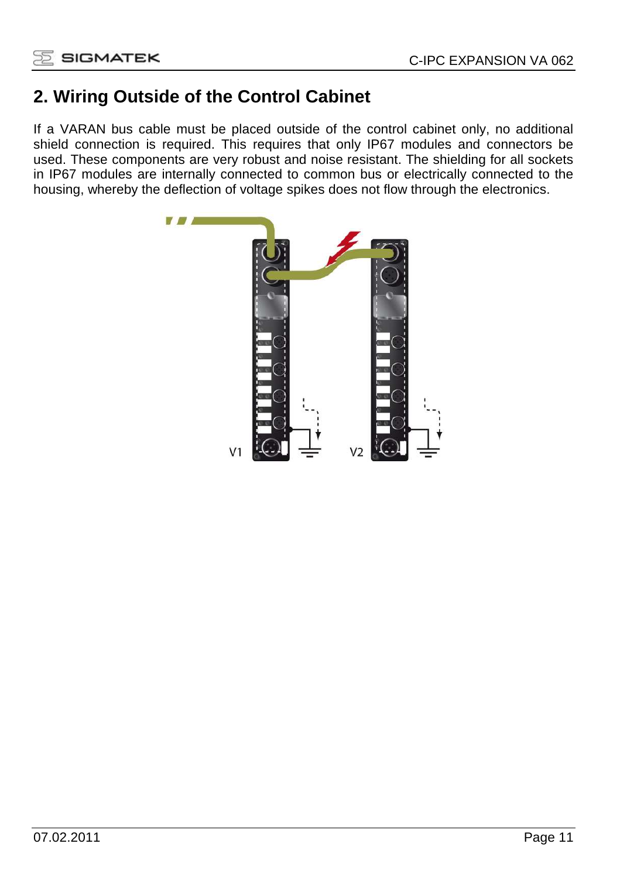# **2. Wiring Outside of the Control Cabinet**

If a VARAN bus cable must be placed outside of the control cabinet only, no additional shield connection is required. This requires that only IP67 modules and connectors be used. These components are very robust and noise resistant. The shielding for all sockets in IP67 modules are internally connected to common bus or electrically connected to the housing, whereby the deflection of voltage spikes does not flow through the electronics.

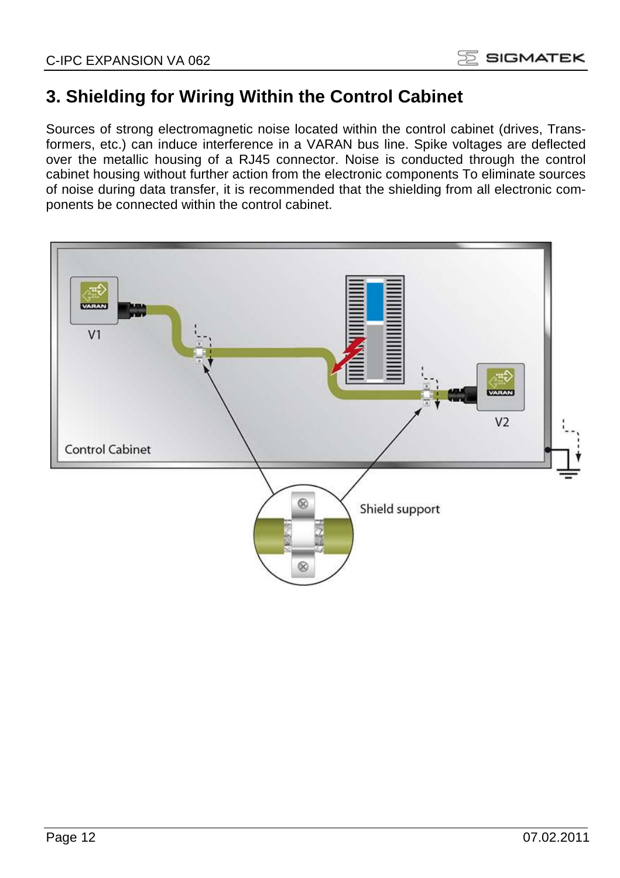

# **3. Shielding for Wiring Within the Control Cabinet**

Sources of strong electromagnetic noise located within the control cabinet (drives, Transformers, etc.) can induce interference in a VARAN bus line. Spike voltages are deflected over the metallic housing of a RJ45 connector. Noise is conducted through the control cabinet housing without further action from the electronic components To eliminate sources of noise during data transfer, it is recommended that the shielding from all electronic components be connected within the control cabinet.

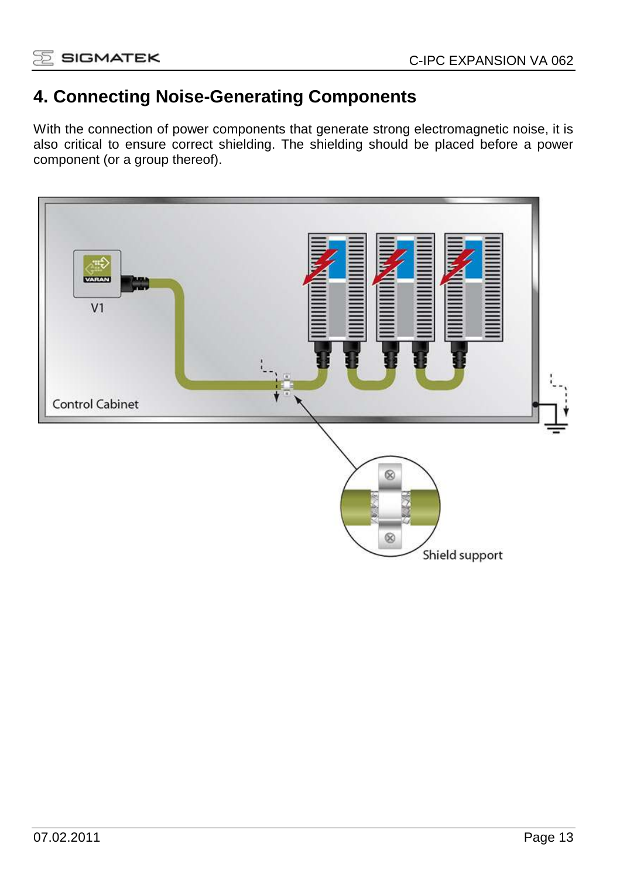

## **4. Connecting Noise-Generating Components**

With the connection of power components that generate strong electromagnetic noise, it is also critical to ensure correct shielding. The shielding should be placed before a power component (or a group thereof).